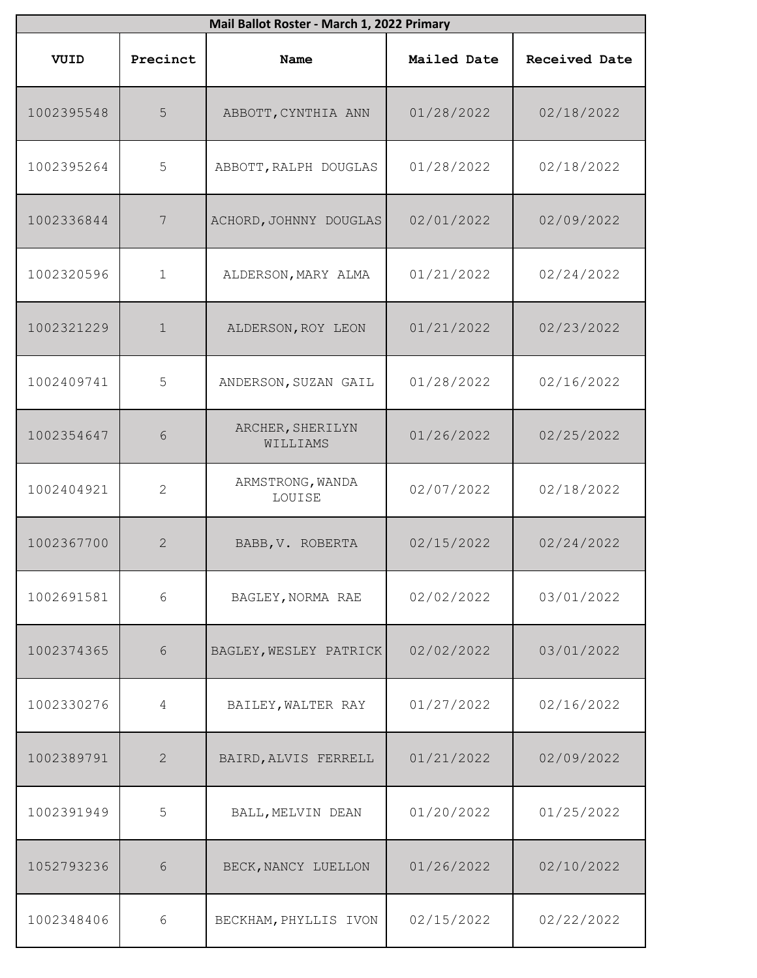|            | Mail Ballot Roster - March 1, 2022 Primary |                              |             |                      |  |
|------------|--------------------------------------------|------------------------------|-------------|----------------------|--|
| VUID       | Precinct                                   | Name                         | Mailed Date | <b>Received Date</b> |  |
| 1002395548 | 5                                          | ABBOTT, CYNTHIA ANN          | 01/28/2022  | 02/18/2022           |  |
| 1002395264 | 5                                          | ABBOTT, RALPH DOUGLAS        | 01/28/2022  | 02/18/2022           |  |
| 1002336844 | 7                                          | ACHORD, JOHNNY DOUGLAS       | 02/01/2022  | 02/09/2022           |  |
| 1002320596 | $\mathbf 1$                                | ALDERSON, MARY ALMA          | 01/21/2022  | 02/24/2022           |  |
| 1002321229 | $\mathbf 1$                                | ALDERSON, ROY LEON           | 01/21/2022  | 02/23/2022           |  |
| 1002409741 | 5                                          | ANDERSON, SUZAN GAIL         | 01/28/2022  | 02/16/2022           |  |
| 1002354647 | 6                                          | ARCHER, SHERILYN<br>WILLIAMS | 01/26/2022  | 02/25/2022           |  |
| 1002404921 | $\mathbf{2}$                               | ARMSTRONG, WANDA<br>LOUISE   | 02/07/2022  | 02/18/2022           |  |
| 1002367700 | $\overline{2}$                             | BABB, V. ROBERTA             | 02/15/2022  | 02/24/2022           |  |
| 1002691581 | 6                                          | BAGLEY, NORMA RAE            | 02/02/2022  | 03/01/2022           |  |
| 1002374365 | 6                                          | BAGLEY, WESLEY PATRICK       | 02/02/2022  | 03/01/2022           |  |
| 1002330276 | $\overline{4}$                             | BAILEY, WALTER RAY           | 01/27/2022  | 02/16/2022           |  |
| 1002389791 | 2                                          | BAIRD, ALVIS FERRELL         | 01/21/2022  | 02/09/2022           |  |
| 1002391949 | 5                                          | BALL, MELVIN DEAN            | 01/20/2022  | 01/25/2022           |  |
| 1052793236 | 6                                          | BECK, NANCY LUELLON          | 01/26/2022  | 02/10/2022           |  |
| 1002348406 | 6                                          | BECKHAM, PHYLLIS IVON        | 02/15/2022  | 02/22/2022           |  |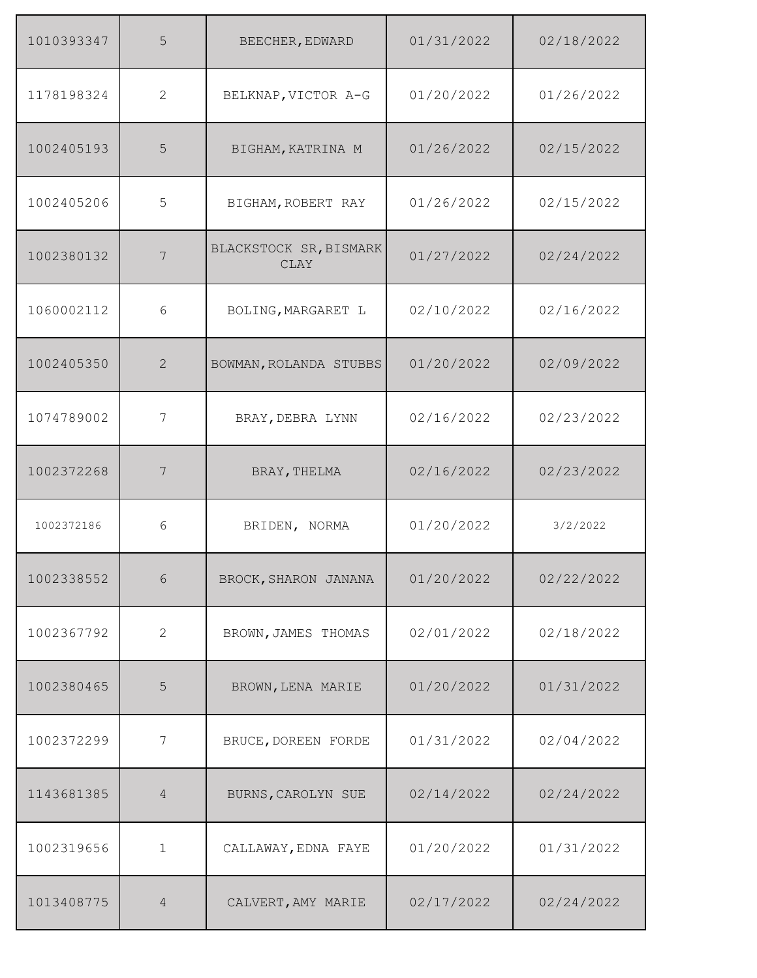| 1010393347 | 5              | BEECHER, EDWARD                       | 01/31/2022 | 02/18/2022 |
|------------|----------------|---------------------------------------|------------|------------|
| 1178198324 | 2              | BELKNAP, VICTOR A-G                   | 01/20/2022 | 01/26/2022 |
| 1002405193 | 5              | BIGHAM, KATRINA M                     | 01/26/2022 | 02/15/2022 |
| 1002405206 | 5              | BIGHAM, ROBERT RAY                    | 01/26/2022 | 02/15/2022 |
| 1002380132 | 7              | BLACKSTOCK SR, BISMARK<br><b>CLAY</b> | 01/27/2022 | 02/24/2022 |
| 1060002112 | 6              | BOLING, MARGARET L                    | 02/10/2022 | 02/16/2022 |
| 1002405350 | 2              | BOWMAN, ROLANDA STUBBS                | 01/20/2022 | 02/09/2022 |
| 1074789002 | 7              | BRAY, DEBRA LYNN                      | 02/16/2022 | 02/23/2022 |
| 1002372268 | 7              | BRAY, THELMA                          | 02/16/2022 | 02/23/2022 |
| 1002372186 | 6              | BRIDEN, NORMA                         | 01/20/2022 | 3/2/2022   |
| 1002338552 | $\sqrt{6}$     | BROCK, SHARON JANANA                  | 01/20/2022 | 02/22/2022 |
| 1002367792 | 2              | BROWN, JAMES THOMAS                   | 02/01/2022 | 02/18/2022 |
| 1002380465 | 5              | BROWN, LENA MARIE                     | 01/20/2022 | 01/31/2022 |
| 1002372299 | 7              | BRUCE, DOREEN FORDE                   | 01/31/2022 | 02/04/2022 |
| 1143681385 | $\overline{4}$ | BURNS, CAROLYN SUE                    | 02/14/2022 | 02/24/2022 |
| 1002319656 | $\mathbf{1}$   | CALLAWAY, EDNA FAYE                   | 01/20/2022 | 01/31/2022 |
| 1013408775 | $\sqrt{4}$     | CALVERT, AMY MARIE                    | 02/17/2022 | 02/24/2022 |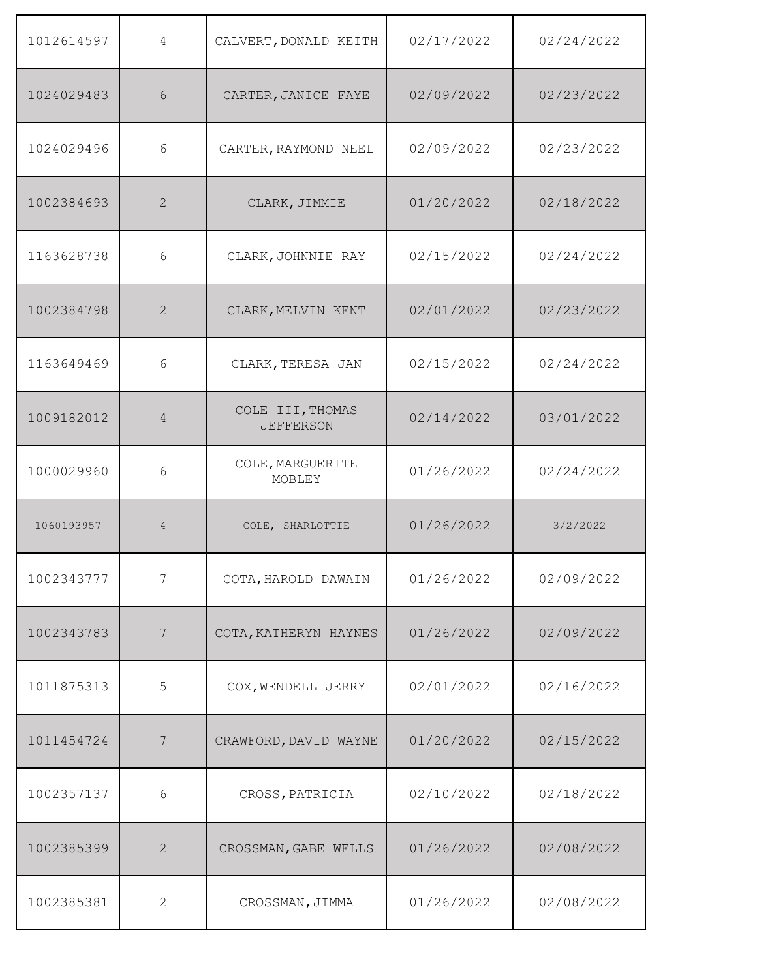| 1012614597 | 4              | CALVERT, DONALD KEITH                | 02/17/2022 | 02/24/2022 |
|------------|----------------|--------------------------------------|------------|------------|
| 1024029483 | 6              | CARTER, JANICE FAYE                  | 02/09/2022 | 02/23/2022 |
| 1024029496 | 6              | CARTER, RAYMOND NEEL                 | 02/09/2022 | 02/23/2022 |
| 1002384693 | $\overline{2}$ | CLARK, JIMMIE                        | 01/20/2022 | 02/18/2022 |
| 1163628738 | 6              | CLARK, JOHNNIE RAY                   | 02/15/2022 | 02/24/2022 |
| 1002384798 | $\overline{2}$ | CLARK, MELVIN KENT                   | 02/01/2022 | 02/23/2022 |
| 1163649469 | 6              | CLARK, TERESA JAN                    | 02/15/2022 | 02/24/2022 |
| 1009182012 | 4              | COLE III, THOMAS<br><b>JEFFERSON</b> | 02/14/2022 | 03/01/2022 |
| 1000029960 | 6              | COLE, MARGUERITE<br>MOBLEY           | 01/26/2022 | 02/24/2022 |
| 1060193957 | $\overline{4}$ | COLE, SHARLOTTIE                     | 01/26/2022 | 3/2/2022   |
| 1002343777 | 7              | COTA, HAROLD DAWAIN                  | 01/26/2022 | 02/09/2022 |
| 1002343783 | $\overline{7}$ | COTA, KATHERYN HAYNES                | 01/26/2022 | 02/09/2022 |
| 1011875313 | 5              | COX, WENDELL JERRY                   | 02/01/2022 | 02/16/2022 |
| 1011454724 | 7              | CRAWFORD, DAVID WAYNE                | 01/20/2022 | 02/15/2022 |
| 1002357137 | 6              | CROSS, PATRICIA                      | 02/10/2022 | 02/18/2022 |
| 1002385399 | $\overline{2}$ | CROSSMAN, GABE WELLS                 | 01/26/2022 | 02/08/2022 |
| 1002385381 | $\overline{2}$ | CROSSMAN, JIMMA                      | 01/26/2022 | 02/08/2022 |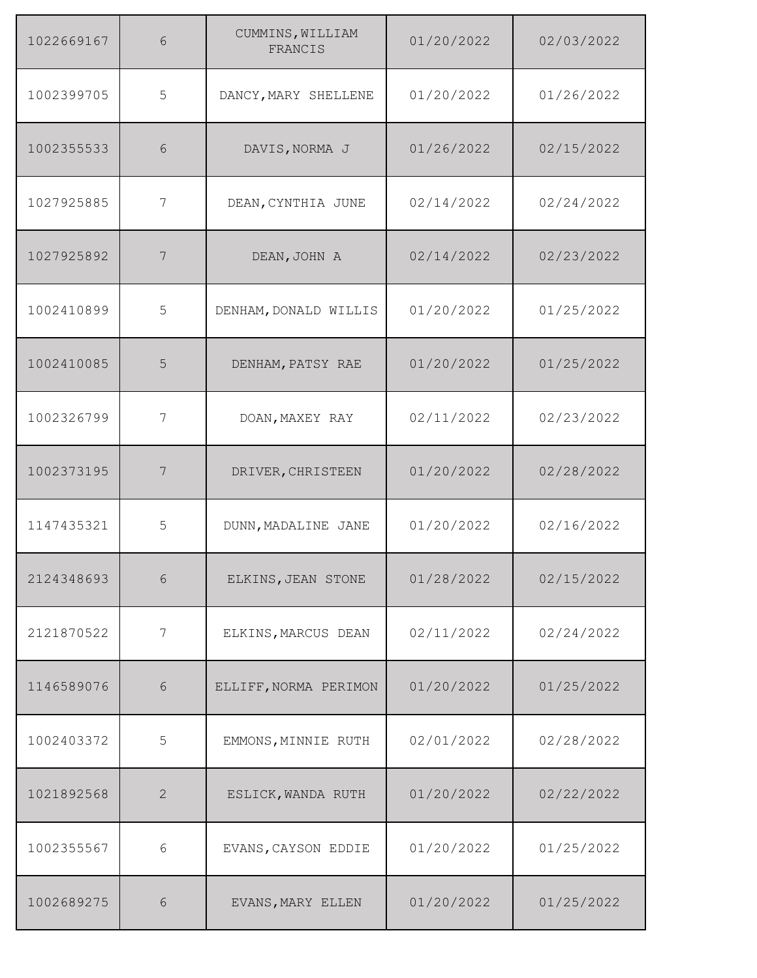| 1022669167 | 6          | CUMMINS, WILLIAM<br>FRANCIS | 01/20/2022 | 02/03/2022 |
|------------|------------|-----------------------------|------------|------------|
| 1002399705 | 5          | DANCY, MARY SHELLENE        | 01/20/2022 | 01/26/2022 |
| 1002355533 | 6          | DAVIS, NORMA J              | 01/26/2022 | 02/15/2022 |
| 1027925885 | 7          | DEAN, CYNTHIA JUNE          | 02/14/2022 | 02/24/2022 |
| 1027925892 | 7          | DEAN, JOHN A                | 02/14/2022 | 02/23/2022 |
| 1002410899 | 5          | DENHAM, DONALD WILLIS       | 01/20/2022 | 01/25/2022 |
| 1002410085 | 5          | DENHAM, PATSY RAE           | 01/20/2022 | 01/25/2022 |
| 1002326799 | 7          | DOAN, MAXEY RAY             | 02/11/2022 | 02/23/2022 |
| 1002373195 | 7          | DRIVER, CHRISTEEN           | 01/20/2022 | 02/28/2022 |
| 1147435321 | 5          | DUNN, MADALINE JANE         | 01/20/2022 | 02/16/2022 |
| 2124348693 | $\sqrt{6}$ | ELKINS, JEAN STONE          | 01/28/2022 | 02/15/2022 |
| 2121870522 | 7          | ELKINS, MARCUS DEAN         | 02/11/2022 | 02/24/2022 |
| 1146589076 | $6\,$      | ELLIFF, NORMA PERIMON       | 01/20/2022 | 01/25/2022 |
| 1002403372 | 5          | EMMONS, MINNIE RUTH         | 02/01/2022 | 02/28/2022 |
| 1021892568 | 2          | ESLICK, WANDA RUTH          | 01/20/2022 | 02/22/2022 |
| 1002355567 | $6\,$      | EVANS, CAYSON EDDIE         | 01/20/2022 | 01/25/2022 |
| 1002689275 | $\sqrt{6}$ | EVANS, MARY ELLEN           | 01/20/2022 | 01/25/2022 |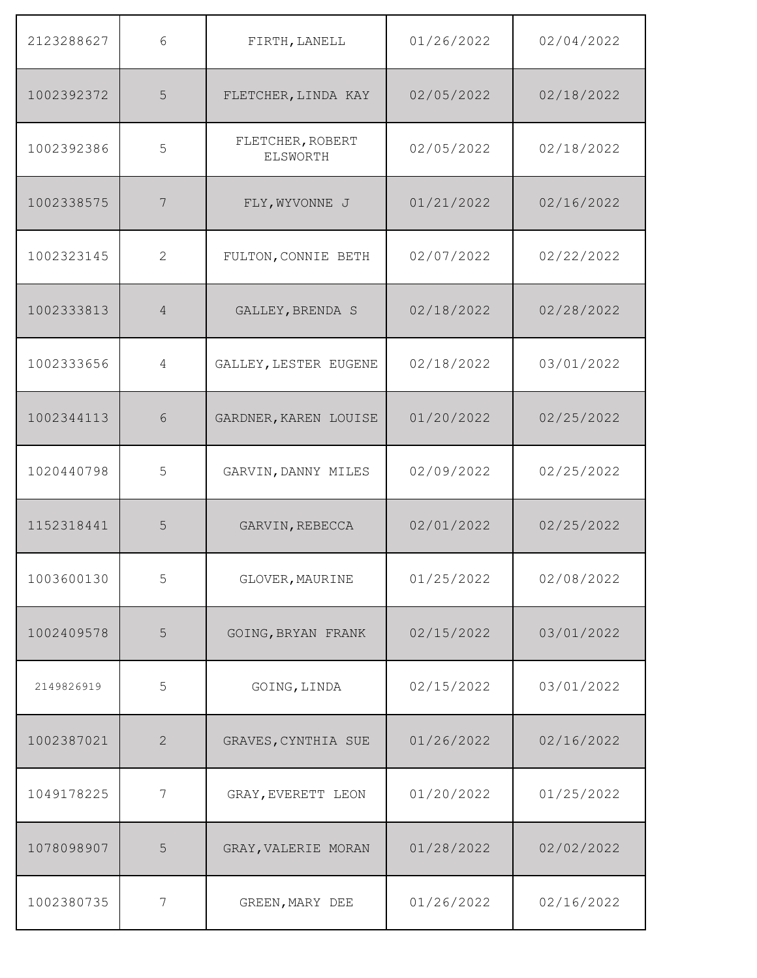| 2123288627 | 6              | FIRTH, LANELL                       | 01/26/2022 | 02/04/2022 |
|------------|----------------|-------------------------------------|------------|------------|
| 1002392372 | 5              | FLETCHER, LINDA KAY                 | 02/05/2022 | 02/18/2022 |
| 1002392386 | 5              | FLETCHER, ROBERT<br><b>ELSWORTH</b> | 02/05/2022 | 02/18/2022 |
| 1002338575 | 7              | FLY, WYVONNE J                      | 01/21/2022 | 02/16/2022 |
| 1002323145 | $\overline{2}$ | FULTON, CONNIE BETH                 | 02/07/2022 | 02/22/2022 |
| 1002333813 | $\overline{4}$ | GALLEY, BRENDA S                    | 02/18/2022 | 02/28/2022 |
| 1002333656 | 4              | GALLEY, LESTER EUGENE               | 02/18/2022 | 03/01/2022 |
| 1002344113 | 6              | GARDNER, KAREN LOUISE               | 01/20/2022 | 02/25/2022 |
| 1020440798 | 5              | GARVIN, DANNY MILES                 | 02/09/2022 | 02/25/2022 |
| 1152318441 | 5              | GARVIN, REBECCA                     | 02/01/2022 | 02/25/2022 |
| 1003600130 | 5              | GLOVER, MAURINE                     | 01/25/2022 | 02/08/2022 |
| 1002409578 | 5              | GOING, BRYAN FRANK                  | 02/15/2022 | 03/01/2022 |
| 2149826919 | 5              | GOING, LINDA                        | 02/15/2022 | 03/01/2022 |
| 1002387021 | $\overline{2}$ | GRAVES, CYNTHIA SUE                 | 01/26/2022 | 02/16/2022 |
| 1049178225 | 7              | GRAY, EVERETT LEON                  | 01/20/2022 | 01/25/2022 |
| 1078098907 | 5              | GRAY, VALERIE MORAN                 | 01/28/2022 | 02/02/2022 |
| 1002380735 | $\overline{7}$ | GREEN, MARY DEE                     | 01/26/2022 | 02/16/2022 |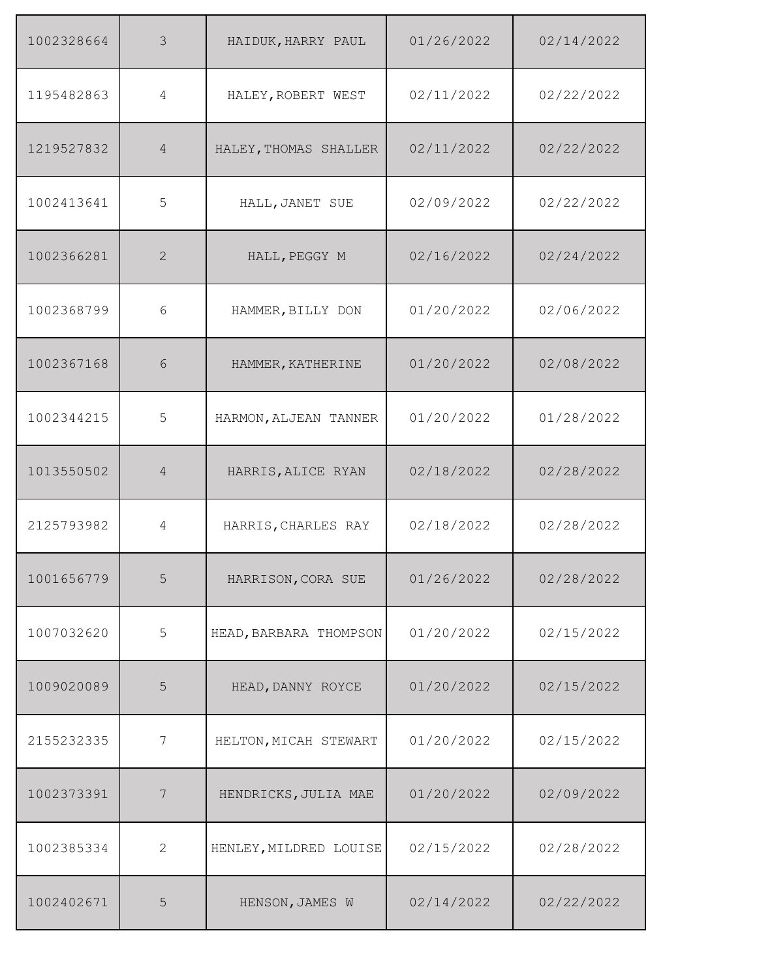| 1002328664 | $\mathcal{S}$  | HAIDUK, HARRY PAUL     | 01/26/2022 | 02/14/2022 |
|------------|----------------|------------------------|------------|------------|
| 1195482863 | 4              | HALEY, ROBERT WEST     | 02/11/2022 | 02/22/2022 |
| 1219527832 | 4              | HALEY, THOMAS SHALLER  | 02/11/2022 | 02/22/2022 |
| 1002413641 | 5              | HALL, JANET SUE        | 02/09/2022 | 02/22/2022 |
| 1002366281 | 2              | HALL, PEGGY M          | 02/16/2022 | 02/24/2022 |
| 1002368799 | 6              | HAMMER, BILLY DON      | 01/20/2022 | 02/06/2022 |
| 1002367168 | 6              | HAMMER, KATHERINE      | 01/20/2022 | 02/08/2022 |
| 1002344215 | 5              | HARMON, ALJEAN TANNER  | 01/20/2022 | 01/28/2022 |
| 1013550502 | $\overline{4}$ | HARRIS, ALICE RYAN     | 02/18/2022 | 02/28/2022 |
| 2125793982 | $\overline{4}$ | HARRIS, CHARLES RAY    | 02/18/2022 | 02/28/2022 |
| 1001656779 | 5              | HARRISON, CORA SUE     | 01/26/2022 | 02/28/2022 |
| 1007032620 | 5              | HEAD, BARBARA THOMPSON | 01/20/2022 | 02/15/2022 |
| 1009020089 | 5              | HEAD, DANNY ROYCE      | 01/20/2022 | 02/15/2022 |
| 2155232335 | 7              | HELTON, MICAH STEWART  | 01/20/2022 | 02/15/2022 |
| 1002373391 | 7              | HENDRICKS, JULIA MAE   | 01/20/2022 | 02/09/2022 |
| 1002385334 | 2              | HENLEY, MILDRED LOUISE | 02/15/2022 | 02/28/2022 |
| 1002402671 | 5              | HENSON, JAMES W        | 02/14/2022 | 02/22/2022 |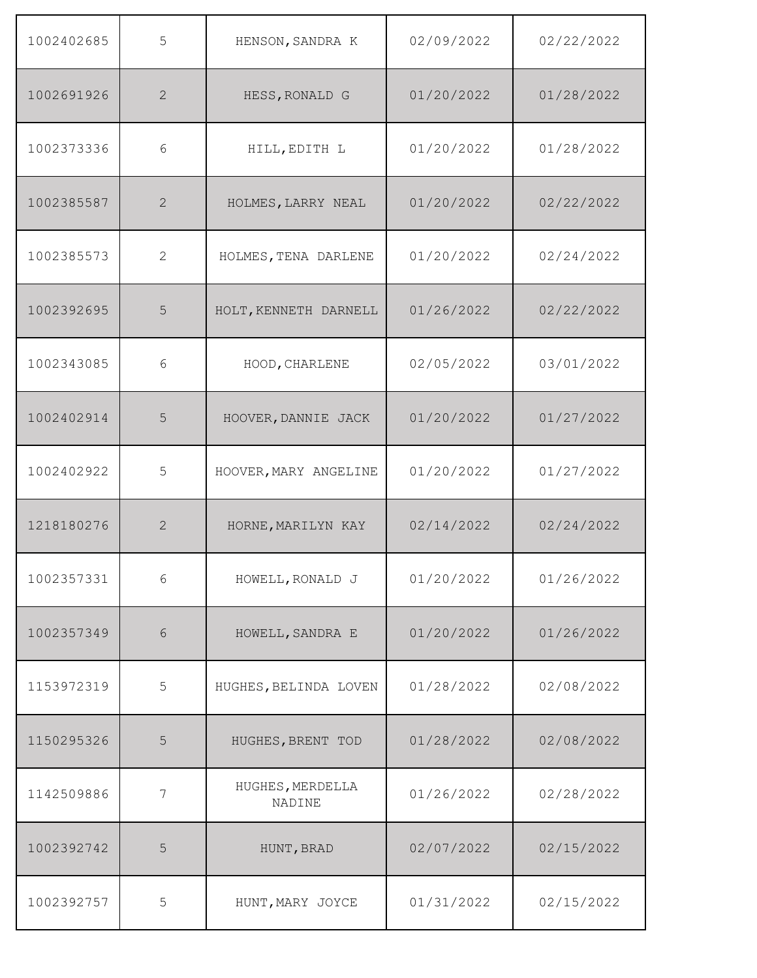| 1002402685 | 5          | HENSON, SANDRA K           | 02/09/2022 | 02/22/2022 |
|------------|------------|----------------------------|------------|------------|
| 1002691926 | 2          | HESS, RONALD G             | 01/20/2022 | 01/28/2022 |
| 1002373336 | 6          | HILL, EDITH L              | 01/20/2022 | 01/28/2022 |
| 1002385587 | 2          | HOLMES, LARRY NEAL         | 01/20/2022 | 02/22/2022 |
| 1002385573 | 2          | HOLMES, TENA DARLENE       | 01/20/2022 | 02/24/2022 |
| 1002392695 | 5          | HOLT, KENNETH DARNELL      | 01/26/2022 | 02/22/2022 |
| 1002343085 | 6          | HOOD, CHARLENE             | 02/05/2022 | 03/01/2022 |
| 1002402914 | 5          | HOOVER, DANNIE JACK        | 01/20/2022 | 01/27/2022 |
| 1002402922 | 5          | HOOVER, MARY ANGELINE      | 01/20/2022 | 01/27/2022 |
| 1218180276 | 2          | HORNE, MARILYN KAY         | 02/14/2022 | 02/24/2022 |
| 1002357331 | $\sqrt{6}$ | HOWELL, RONALD J           | 01/20/2022 | 01/26/2022 |
| 1002357349 | 6          | HOWELL, SANDRA E           | 01/20/2022 | 01/26/2022 |
| 1153972319 | 5          | HUGHES, BELINDA LOVEN      | 01/28/2022 | 02/08/2022 |
| 1150295326 | 5          | HUGHES, BRENT TOD          | 01/28/2022 | 02/08/2022 |
| 1142509886 | 7          | HUGHES, MERDELLA<br>NADINE | 01/26/2022 | 02/28/2022 |
| 1002392742 | 5          | HUNT, BRAD                 | 02/07/2022 | 02/15/2022 |
| 1002392757 | 5          | HUNT, MARY JOYCE           | 01/31/2022 | 02/15/2022 |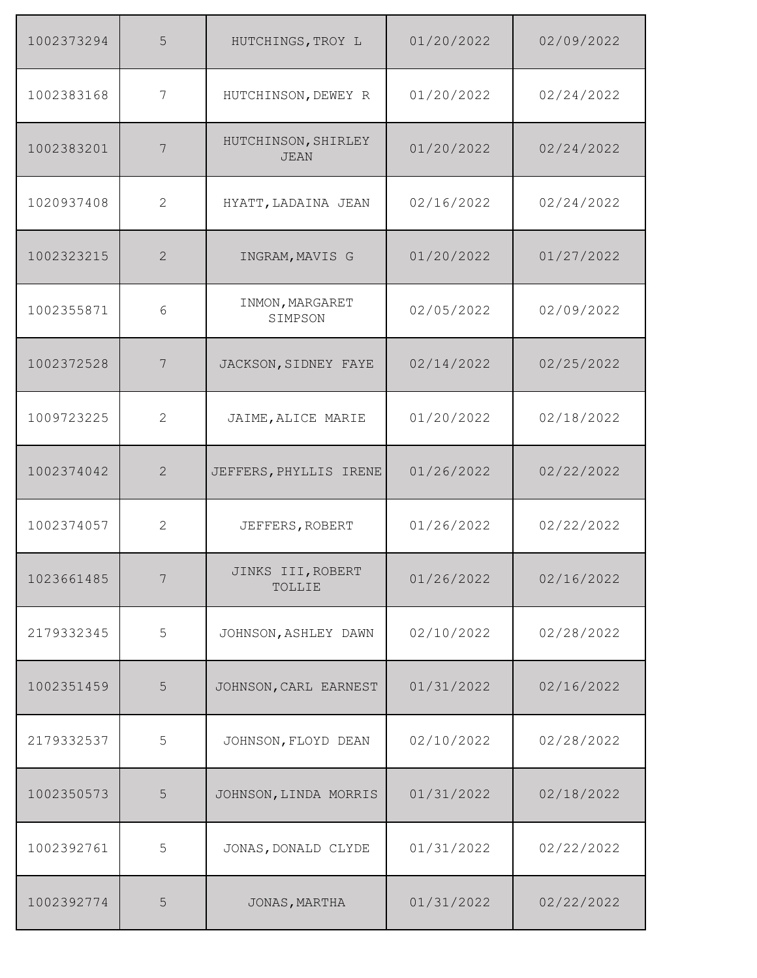| 1002373294 | 5              | HUTCHINGS, TROY L                  | 01/20/2022 | 02/09/2022 |
|------------|----------------|------------------------------------|------------|------------|
| 1002383168 | $\overline{7}$ | HUTCHINSON, DEWEY R                | 01/20/2022 | 02/24/2022 |
| 1002383201 | 7              | HUTCHINSON, SHIRLEY<br><b>JEAN</b> | 01/20/2022 | 02/24/2022 |
| 1020937408 | 2              | HYATT, LADAINA JEAN                | 02/16/2022 | 02/24/2022 |
| 1002323215 | $\overline{2}$ | INGRAM, MAVIS G                    | 01/20/2022 | 01/27/2022 |
| 1002355871 | 6              | INMON, MARGARET<br>SIMPSON         | 02/05/2022 | 02/09/2022 |
| 1002372528 | 7              | JACKSON, SIDNEY FAYE               | 02/14/2022 | 02/25/2022 |
| 1009723225 | 2              | JAIME, ALICE MARIE                 | 01/20/2022 | 02/18/2022 |
| 1002374042 | 2              | JEFFERS, PHYLLIS IRENE             | 01/26/2022 | 02/22/2022 |
| 1002374057 | 2              | JEFFERS, ROBERT                    | 01/26/2022 | 02/22/2022 |
| 1023661485 | 7              | JINKS III, ROBERT<br>TOLLIE        | 01/26/2022 | 02/16/2022 |
| 2179332345 | 5              | JOHNSON, ASHLEY DAWN               | 02/10/2022 | 02/28/2022 |
| 1002351459 | 5              | JOHNSON, CARL EARNEST              | 01/31/2022 | 02/16/2022 |
| 2179332537 | 5              | JOHNSON, FLOYD DEAN                | 02/10/2022 | 02/28/2022 |
| 1002350573 | 5              | JOHNSON, LINDA MORRIS              | 01/31/2022 | 02/18/2022 |
| 1002392761 | 5              | JONAS, DONALD CLYDE                | 01/31/2022 | 02/22/2022 |
| 1002392774 | 5              | JONAS, MARTHA                      | 01/31/2022 | 02/22/2022 |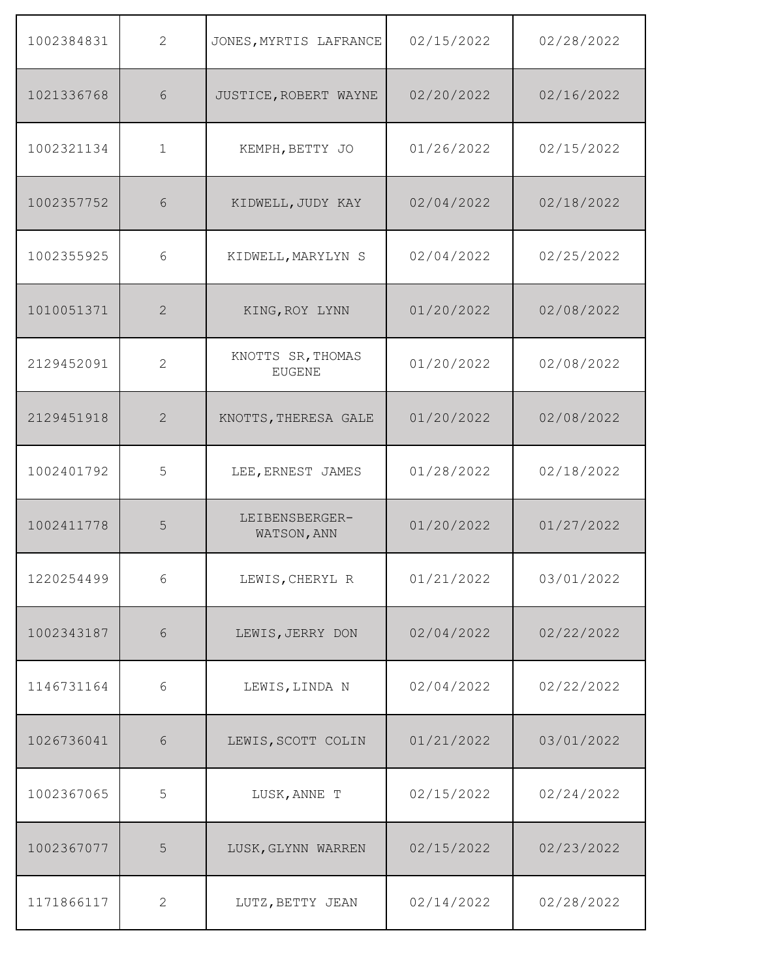| 1002384831 | 2            | JONES, MYRTIS LAFRANCE             | 02/15/2022 | 02/28/2022 |
|------------|--------------|------------------------------------|------------|------------|
| 1021336768 | 6            | JUSTICE, ROBERT WAYNE              | 02/20/2022 | 02/16/2022 |
| 1002321134 | $\mathbf 1$  | KEMPH, BETTY JO                    | 01/26/2022 | 02/15/2022 |
| 1002357752 | 6            | KIDWELL, JUDY KAY                  | 02/04/2022 | 02/18/2022 |
| 1002355925 | 6            | KIDWELL, MARYLYN S                 | 02/04/2022 | 02/25/2022 |
| 1010051371 | 2            | KING, ROY LYNN                     | 01/20/2022 | 02/08/2022 |
| 2129452091 | 2            | KNOTTS SR, THOMAS<br><b>EUGENE</b> | 01/20/2022 | 02/08/2022 |
| 2129451918 | 2            | KNOTTS, THERESA GALE               | 01/20/2022 | 02/08/2022 |
| 1002401792 | 5            | LEE, ERNEST JAMES                  | 01/28/2022 | 02/18/2022 |
| 1002411778 | 5            | LEIBENSBERGER-<br>WATSON, ANN      | 01/20/2022 | 01/27/2022 |
| 1220254499 | $6\,$        | LEWIS, CHERYL R                    | 01/21/2022 | 03/01/2022 |
| 1002343187 | 6            | LEWIS, JERRY DON                   | 02/04/2022 | 02/22/2022 |
| 1146731164 | $6\,$        | LEWIS, LINDA N                     | 02/04/2022 | 02/22/2022 |
| 1026736041 | $\sqrt{6}$   | LEWIS, SCOTT COLIN                 | 01/21/2022 | 03/01/2022 |
| 1002367065 | 5            | LUSK, ANNE T                       | 02/15/2022 | 02/24/2022 |
| 1002367077 | 5            | LUSK, GLYNN WARREN                 | 02/15/2022 | 02/23/2022 |
| 1171866117 | $\mathbf{2}$ | LUTZ, BETTY JEAN                   | 02/14/2022 | 02/28/2022 |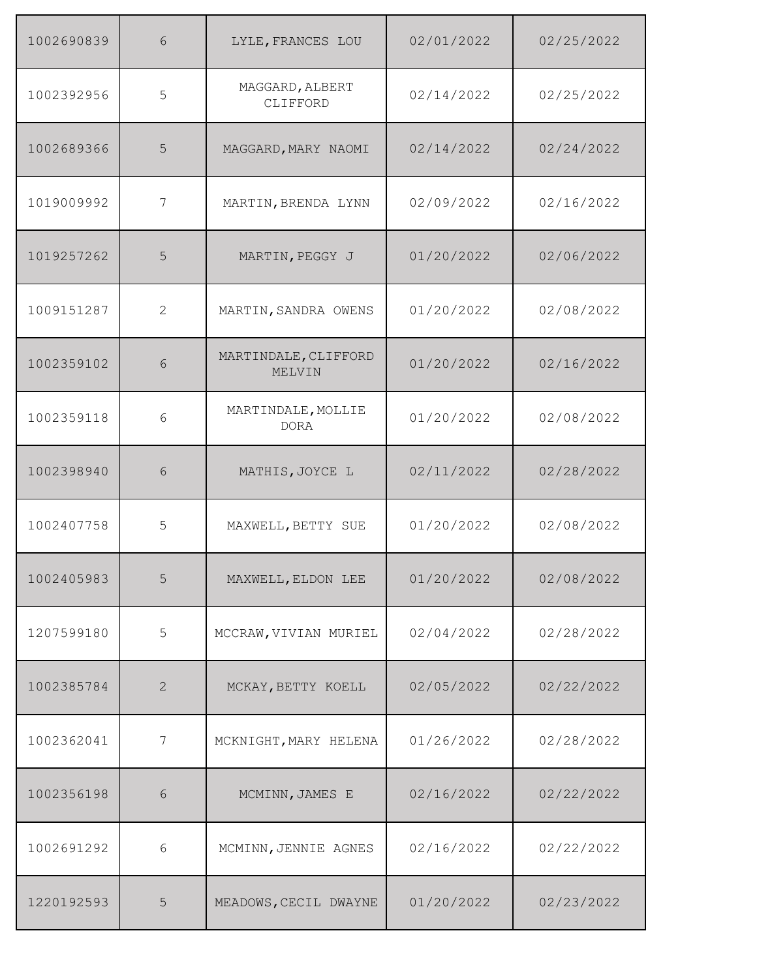| 1002690839 | 6              | LYLE, FRANCES LOU                 | 02/01/2022 | 02/25/2022 |
|------------|----------------|-----------------------------------|------------|------------|
| 1002392956 | 5              | MAGGARD, ALBERT<br>CLIFFORD       | 02/14/2022 | 02/25/2022 |
| 1002689366 | 5              | MAGGARD, MARY NAOMI               | 02/14/2022 | 02/24/2022 |
| 1019009992 | 7              | MARTIN, BRENDA LYNN               | 02/09/2022 | 02/16/2022 |
| 1019257262 | 5              | MARTIN, PEGGY J                   | 01/20/2022 | 02/06/2022 |
| 1009151287 | 2              | MARTIN, SANDRA OWENS              | 01/20/2022 | 02/08/2022 |
| 1002359102 | 6              | MARTINDALE, CLIFFORD<br>MELVIN    | 01/20/2022 | 02/16/2022 |
| 1002359118 | 6              | MARTINDALE, MOLLIE<br><b>DORA</b> | 01/20/2022 | 02/08/2022 |
| 1002398940 | 6              | MATHIS, JOYCE L                   | 02/11/2022 | 02/28/2022 |
| 1002407758 | 5              | MAXWELL, BETTY SUE                | 01/20/2022 | 02/08/2022 |
| 1002405983 | 5              | MAXWELL, ELDON LEE                | 01/20/2022 | 02/08/2022 |
| 1207599180 | 5              | MCCRAW, VIVIAN MURIEL             | 02/04/2022 | 02/28/2022 |
| 1002385784 | 2              | MCKAY, BETTY KOELL                | 02/05/2022 | 02/22/2022 |
| 1002362041 | 7              | MCKNIGHT, MARY HELENA             | 01/26/2022 | 02/28/2022 |
| 1002356198 | $\sqrt{6}$     | MCMINN, JAMES E                   | 02/16/2022 | 02/22/2022 |
| 1002691292 | 6              | MCMINN, JENNIE AGNES              | 02/16/2022 | 02/22/2022 |
| 1220192593 | $\overline{5}$ | MEADOWS, CECIL DWAYNE             | 01/20/2022 | 02/23/2022 |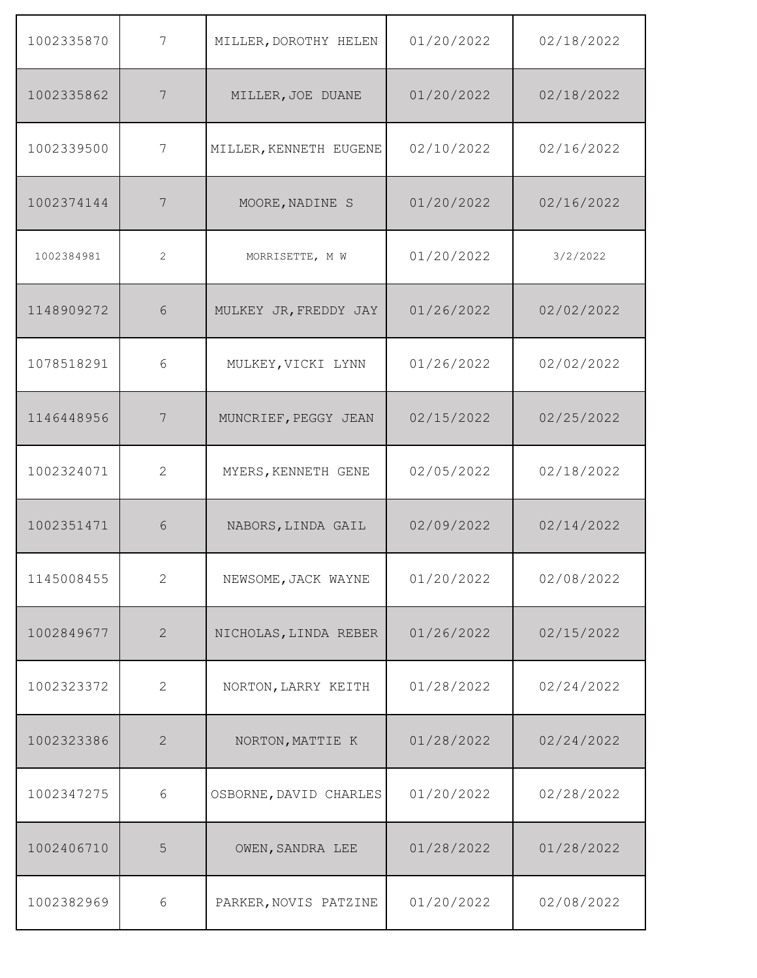| 1002335870 | 7              | MILLER, DOROTHY HELEN  | 01/20/2022 | 02/18/2022 |
|------------|----------------|------------------------|------------|------------|
| 1002335862 | 7              | MILLER, JOE DUANE      | 01/20/2022 | 02/18/2022 |
| 1002339500 | 7              | MILLER, KENNETH EUGENE | 02/10/2022 | 02/16/2022 |
| 1002374144 | 7              | MOORE, NADINE S        | 01/20/2022 | 02/16/2022 |
| 1002384981 | $\overline{c}$ | MORRISETTE, M W        | 01/20/2022 | 3/2/2022   |
| 1148909272 | 6              | MULKEY JR, FREDDY JAY  | 01/26/2022 | 02/02/2022 |
| 1078518291 | 6              | MULKEY, VICKI LYNN     | 01/26/2022 | 02/02/2022 |
| 1146448956 | 7              | MUNCRIEF, PEGGY JEAN   | 02/15/2022 | 02/25/2022 |
| 1002324071 | $\overline{2}$ | MYERS, KENNETH GENE    | 02/05/2022 | 02/18/2022 |
| 1002351471 | 6              | NABORS, LINDA GAIL     | 02/09/2022 | 02/14/2022 |
| 1145008455 | $\overline{2}$ | NEWSOME, JACK WAYNE    | 01/20/2022 | 02/08/2022 |
| 1002849677 | $\mathbf{2}$   | NICHOLAS, LINDA REBER  | 01/26/2022 | 02/15/2022 |
| 1002323372 | $\mathbf{2}$   | NORTON, LARRY KEITH    | 01/28/2022 | 02/24/2022 |
| 1002323386 | $\mathbf{2}$   | NORTON, MATTIE K       | 01/28/2022 | 02/24/2022 |
| 1002347275 | 6              | OSBORNE, DAVID CHARLES | 01/20/2022 | 02/28/2022 |
| 1002406710 | 5              | OWEN, SANDRA LEE       | 01/28/2022 | 01/28/2022 |
| 1002382969 | $6\,$          | PARKER, NOVIS PATZINE  | 01/20/2022 | 02/08/2022 |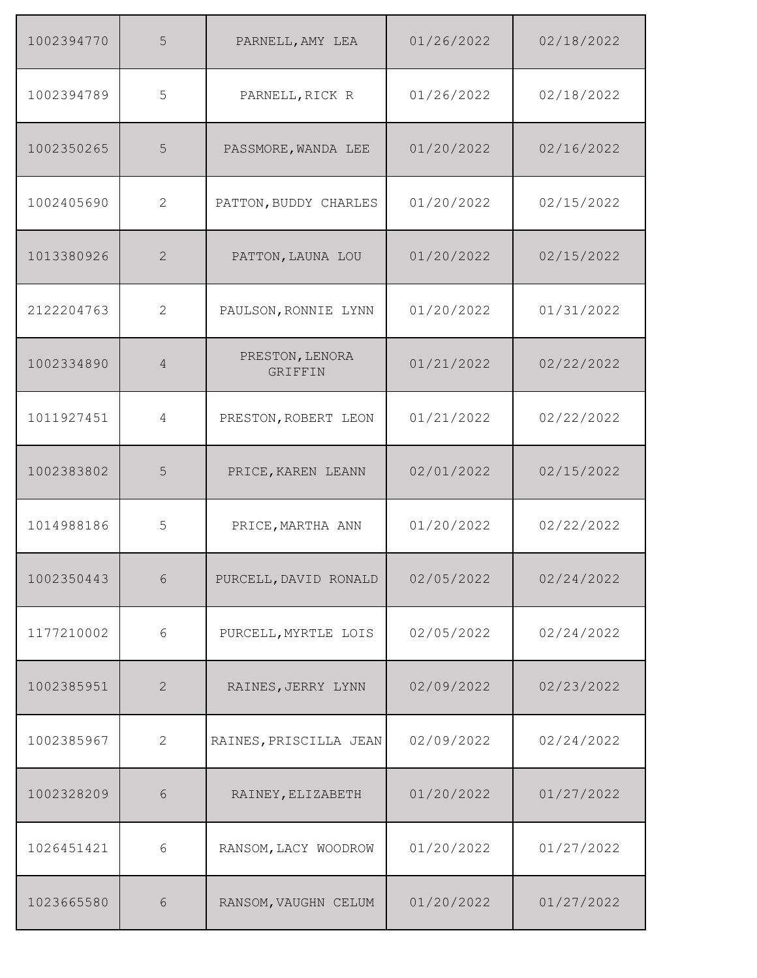| 1002394770 | 5              | PARNELL, AMY LEA                  | 01/26/2022 | 02/18/2022 |
|------------|----------------|-----------------------------------|------------|------------|
| 1002394789 | 5              | PARNELL, RICK R                   | 01/26/2022 | 02/18/2022 |
| 1002350265 | 5              | PASSMORE, WANDA LEE               | 01/20/2022 | 02/16/2022 |
| 1002405690 | 2              | PATTON, BUDDY CHARLES             | 01/20/2022 | 02/15/2022 |
| 1013380926 | 2              | PATTON, LAUNA LOU                 | 01/20/2022 | 02/15/2022 |
| 2122204763 | 2              | PAULSON, RONNIE LYNN              | 01/20/2022 | 01/31/2022 |
| 1002334890 | $\overline{4}$ | PRESTON, LENORA<br><b>GRIFFIN</b> | 01/21/2022 | 02/22/2022 |
| 1011927451 | 4              | PRESTON, ROBERT LEON              | 01/21/2022 | 02/22/2022 |
| 1002383802 | 5              | PRICE, KAREN LEANN                | 02/01/2022 | 02/15/2022 |
| 1014988186 | 5              | PRICE, MARTHA ANN                 | 01/20/2022 | 02/22/2022 |
| 1002350443 | $6\,$          | PURCELL, DAVID RONALD             | 02/05/2022 | 02/24/2022 |
| 1177210002 | $\epsilon$     | PURCELL, MYRTLE LOIS              | 02/05/2022 | 02/24/2022 |
| 1002385951 | 2              | RAINES, JERRY LYNN                | 02/09/2022 | 02/23/2022 |
| 1002385967 | $\mathbf{2}$   | RAINES, PRISCILLA JEAN            | 02/09/2022 | 02/24/2022 |
| 1002328209 | 6              | RAINEY, ELIZABETH                 | 01/20/2022 | 01/27/2022 |
| 1026451421 | $6\,$          | RANSOM, LACY WOODROW              | 01/20/2022 | 01/27/2022 |
| 1023665580 | $\sqrt{6}$     | RANSOM, VAUGHN CELUM              | 01/20/2022 | 01/27/2022 |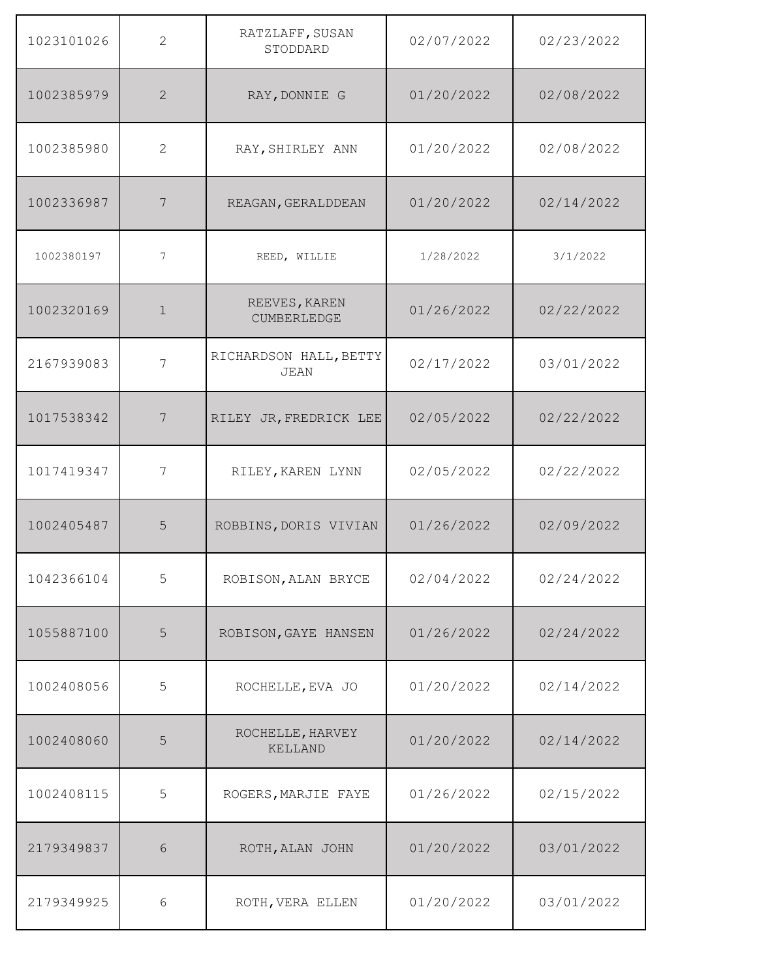| 1023101026 | 2              | RATZLAFF, SUSAN<br>STODDARD           | 02/07/2022 | 02/23/2022 |
|------------|----------------|---------------------------------------|------------|------------|
| 1002385979 | $\overline{2}$ | RAY, DONNIE G                         | 01/20/2022 | 02/08/2022 |
| 1002385980 | 2              | RAY, SHIRLEY ANN                      | 01/20/2022 | 02/08/2022 |
| 1002336987 | 7              | REAGAN, GERALDDEAN                    | 01/20/2022 | 02/14/2022 |
| 1002380197 | 7              | REED, WILLIE                          | 1/28/2022  | 3/1/2022   |
| 1002320169 | $\mathbf 1$    | REEVES, KAREN<br>CUMBERLEDGE          | 01/26/2022 | 02/22/2022 |
| 2167939083 | 7              | RICHARDSON HALL, BETTY<br><b>JEAN</b> | 02/17/2022 | 03/01/2022 |
| 1017538342 | 7              | RILEY JR, FREDRICK LEE                | 02/05/2022 | 02/22/2022 |
| 1017419347 | 7              | RILEY, KAREN LYNN                     | 02/05/2022 | 02/22/2022 |
| 1002405487 | 5              | ROBBINS, DORIS VIVIAN                 | 01/26/2022 | 02/09/2022 |
| 1042366104 | 5              | ROBISON, ALAN BRYCE                   | 02/04/2022 | 02/24/2022 |
| 1055887100 | 5              | ROBISON, GAYE HANSEN                  | 01/26/2022 | 02/24/2022 |
| 1002408056 | 5              | ROCHELLE, EVA JO                      | 01/20/2022 | 02/14/2022 |
| 1002408060 | 5              | ROCHELLE, HARVEY<br>KELLAND           | 01/20/2022 | 02/14/2022 |
| 1002408115 | 5              | ROGERS, MARJIE FAYE                   | 01/26/2022 | 02/15/2022 |
| 2179349837 | $\sqrt{6}$     | ROTH, ALAN JOHN                       | 01/20/2022 | 03/01/2022 |
| 2179349925 | $\epsilon$     | ROTH, VERA ELLEN                      | 01/20/2022 | 03/01/2022 |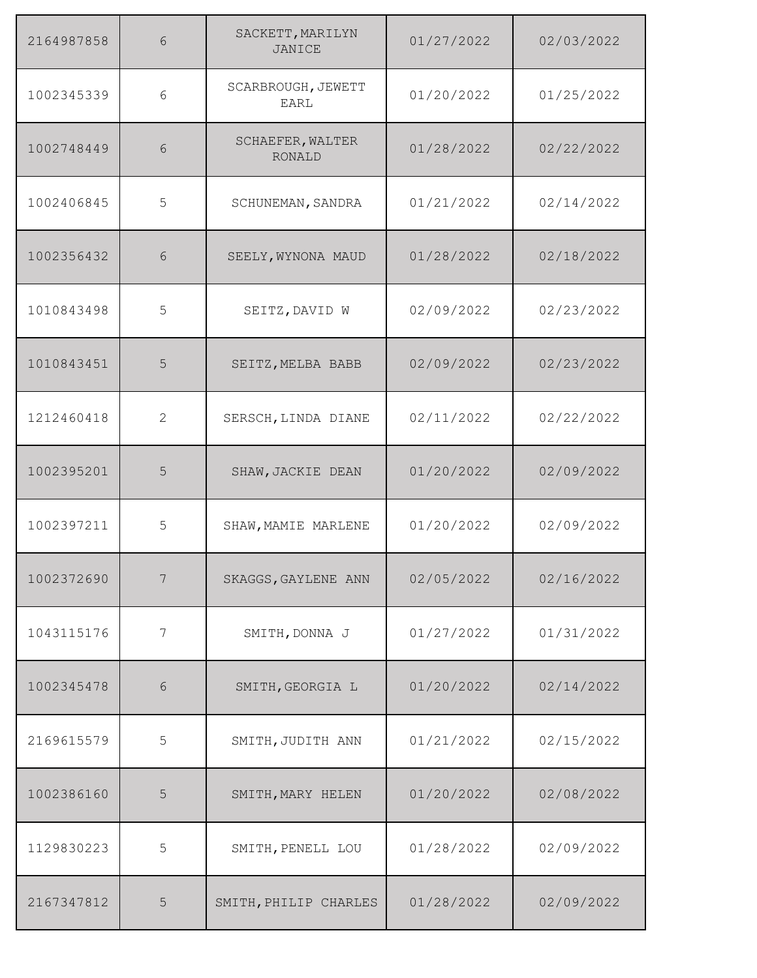| 2164987858 | 6            | SACKETT, MARILYN<br><b>JANICE</b> | 01/27/2022 | 02/03/2022 |
|------------|--------------|-----------------------------------|------------|------------|
| 1002345339 | 6            | SCARBROUGH, JEWETT<br><b>EARL</b> | 01/20/2022 | 01/25/2022 |
| 1002748449 | 6            | SCHAEFER, WALTER<br><b>RONALD</b> | 01/28/2022 | 02/22/2022 |
| 1002406845 | 5            | SCHUNEMAN, SANDRA                 | 01/21/2022 | 02/14/2022 |
| 1002356432 | 6            | SEELY, WYNONA MAUD                | 01/28/2022 | 02/18/2022 |
| 1010843498 | 5            | SEITZ, DAVID W                    | 02/09/2022 | 02/23/2022 |
| 1010843451 | 5            | SEITZ, MELBA BABB                 | 02/09/2022 | 02/23/2022 |
| 1212460418 | $\mathbf{2}$ | SERSCH, LINDA DIANE               | 02/11/2022 | 02/22/2022 |
| 1002395201 | 5            | SHAW, JACKIE DEAN                 | 01/20/2022 | 02/09/2022 |
| 1002397211 | 5            | SHAW, MAMIE MARLENE               | 01/20/2022 | 02/09/2022 |
| 1002372690 | 7            | SKAGGS, GAYLENE ANN               | 02/05/2022 | 02/16/2022 |
| 1043115176 | 7            | SMITH, DONNA J                    | 01/27/2022 | 01/31/2022 |
| 1002345478 | $6\,$        | SMITH, GEORGIA L                  | 01/20/2022 | 02/14/2022 |
| 2169615579 | 5            | SMITH, JUDITH ANN                 | 01/21/2022 | 02/15/2022 |
| 1002386160 | 5            | SMITH, MARY HELEN                 | 01/20/2022 | 02/08/2022 |
| 1129830223 | 5            | SMITH, PENELL LOU                 | 01/28/2022 | 02/09/2022 |
| 2167347812 | 5            | SMITH, PHILIP CHARLES             | 01/28/2022 | 02/09/2022 |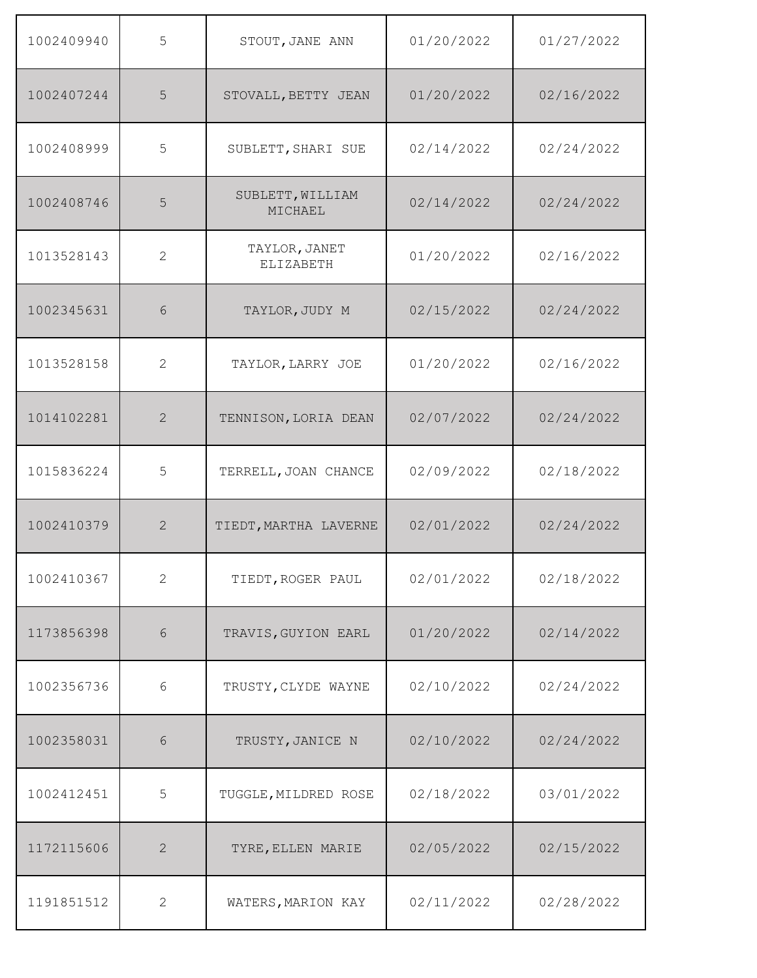| 1002409940 | 5              | STOUT, JANE ANN                   | 01/20/2022 | 01/27/2022 |
|------------|----------------|-----------------------------------|------------|------------|
| 1002407244 | 5              | STOVALL, BETTY JEAN               | 01/20/2022 | 02/16/2022 |
| 1002408999 | 5              | SUBLETT, SHARI SUE                | 02/14/2022 | 02/24/2022 |
| 1002408746 | 5              | SUBLETT, WILLIAM<br>MICHAEL       | 02/14/2022 | 02/24/2022 |
| 1013528143 | 2              | TAYLOR, JANET<br><b>ELIZABETH</b> | 01/20/2022 | 02/16/2022 |
| 1002345631 | 6              | TAYLOR, JUDY M                    | 02/15/2022 | 02/24/2022 |
| 1013528158 | 2              | TAYLOR, LARRY JOE                 | 01/20/2022 | 02/16/2022 |
| 1014102281 | $\overline{2}$ | TENNISON, LORIA DEAN              | 02/07/2022 | 02/24/2022 |
| 1015836224 | 5              | TERRELL, JOAN CHANCE              | 02/09/2022 | 02/18/2022 |
| 1002410379 | 2              | TIEDT, MARTHA LAVERNE             | 02/01/2022 | 02/24/2022 |
| 1002410367 | $\mathbf{2}$   | TIEDT, ROGER PAUL                 | 02/01/2022 | 02/18/2022 |
| 1173856398 | $\sqrt{6}$     | TRAVIS, GUYION EARL               | 01/20/2022 | 02/14/2022 |
| 1002356736 | 6              | TRUSTY, CLYDE WAYNE               | 02/10/2022 | 02/24/2022 |
| 1002358031 | $\sqrt{6}$     | TRUSTY, JANICE N                  | 02/10/2022 | 02/24/2022 |
| 1002412451 | 5              | TUGGLE, MILDRED ROSE              | 02/18/2022 | 03/01/2022 |
| 1172115606 | $\mathbf{2}$   | TYRE, ELLEN MARIE                 | 02/05/2022 | 02/15/2022 |
| 1191851512 | $\mathbf{2}$   | WATERS, MARION KAY                | 02/11/2022 | 02/28/2022 |